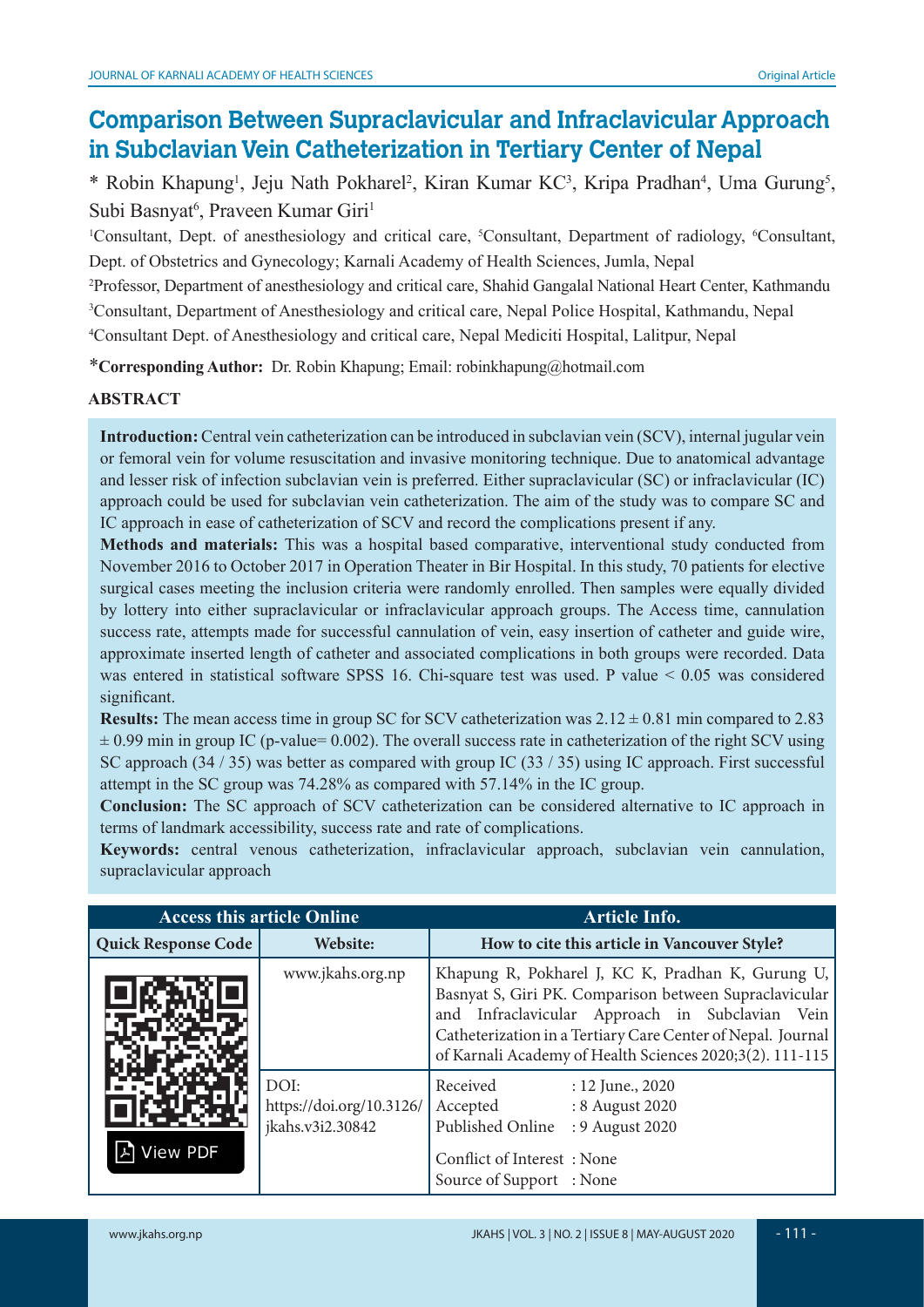# **Comparison Between Supraclavicular and Infraclavicular Approach in Subclavian Vein Catheterization in Tertiary Center of Nepal**

\* Robin Khapung<sup>1</sup>, Jeju Nath Pokharel<sup>2</sup>, Kiran Kumar KC<sup>3</sup>, Kripa Pradhan<sup>4</sup>, Uma Gurung<sup>5</sup>, Subi Basnyat<sup>6</sup>, Praveen Kumar Giri<sup>1</sup>

<sup>1</sup>Consultant, Dept. of anesthesiology and critical care, <sup>5</sup>Consultant, Department of radiology, <sup>6</sup>Consultant, Dept. of Obstetrics and Gynecology; Karnali Academy of Health Sciences, Jumla, Nepal

2 Professor, Department of anesthesiology and critical care, Shahid Gangalal National Heart Center, Kathmandu 3 Consultant, Department of Anesthesiology and critical care, Nepal Police Hospital, Kathmandu, Nepal 4 Consultant Dept. of Anesthesiology and critical care, Nepal Mediciti Hospital, Lalitpur, Nepal

\***Corresponding Author:** Dr. Robin Khapung; Email: robinkhapung@hotmail.com

### **ABSTRACT**

**Introduction:** Central vein catheterization can be introduced in subclavian vein (SCV), internal jugular vein or femoral vein for volume resuscitation and invasive monitoring technique. Due to anatomical advantage and lesser risk of infection subclavian vein is preferred. Either supraclavicular (SC) or infraclavicular (IC) approach could be used for subclavian vein catheterization. The aim of the study was to compare SC and IC approach in ease of catheterization of SCV and record the complications present if any.

**Methods and materials:** This was a hospital based comparative, interventional study conducted from November 2016 to October 2017 in Operation Theater in Bir Hospital. In this study, 70 patients for elective surgical cases meeting the inclusion criteria were randomly enrolled. Then samples were equally divided by lottery into either supraclavicular or infraclavicular approach groups. The Access time, cannulation success rate, attempts made for successful cannulation of vein, easy insertion of catheter and guide wire, approximate inserted length of catheter and associated complications in both groups were recorded. Data was entered in statistical software SPSS 16. Chi-square test was used. P value < 0.05 was considered significant.

**Results:** The mean access time in group SC for SCV catheterization was  $2.12 \pm 0.81$  min compared to 2.83  $\pm$  0.99 min in group IC (p-value= 0.002). The overall success rate in catheterization of the right SCV using SC approach (34 / 35) was better as compared with group IC (33 / 35) using IC approach. First successful attempt in the SC group was 74.28% as compared with 57.14% in the IC group.

**Conclusion:** The SC approach of SCV catheterization can be considered alternative to IC approach in terms of landmark accessibility, success rate and rate of complications.

**Keywords:** central venous catheterization, infraclavicular approach, subclavian vein cannulation, supraclavicular approach

| <b>Access this article Online</b> |                                                      | <b>Article Info.</b>                                                                                                                                                                                                                                                                         |  |
|-----------------------------------|------------------------------------------------------|----------------------------------------------------------------------------------------------------------------------------------------------------------------------------------------------------------------------------------------------------------------------------------------------|--|
| Quick Response Code               | Website:                                             | How to cite this article in Vancouver Style?                                                                                                                                                                                                                                                 |  |
|                                   | www.jkahs.org.np                                     | Khapung R, Pokharel J, KC K, Pradhan K, Gurung U,<br>Basnyat S, Giri PK. Comparison between Supraclavicular<br>and Infraclavicular Approach in Subclavian<br>Vein<br>Catheterization in a Tertiary Care Center of Nepal. Journal<br>of Karnali Academy of Health Sciences 2020;3(2). 111-115 |  |
| <b>View PDF</b>                   | DOI:<br>https://doi.org/10.3126/<br>jkahs.v3i2.30842 | Received<br>$: 12$ June., 2020<br>Accepted<br>: 8 August 2020<br>Published Online<br>: 9 August 2020<br>Conflict of Interest: None<br>Source of Support : None                                                                                                                               |  |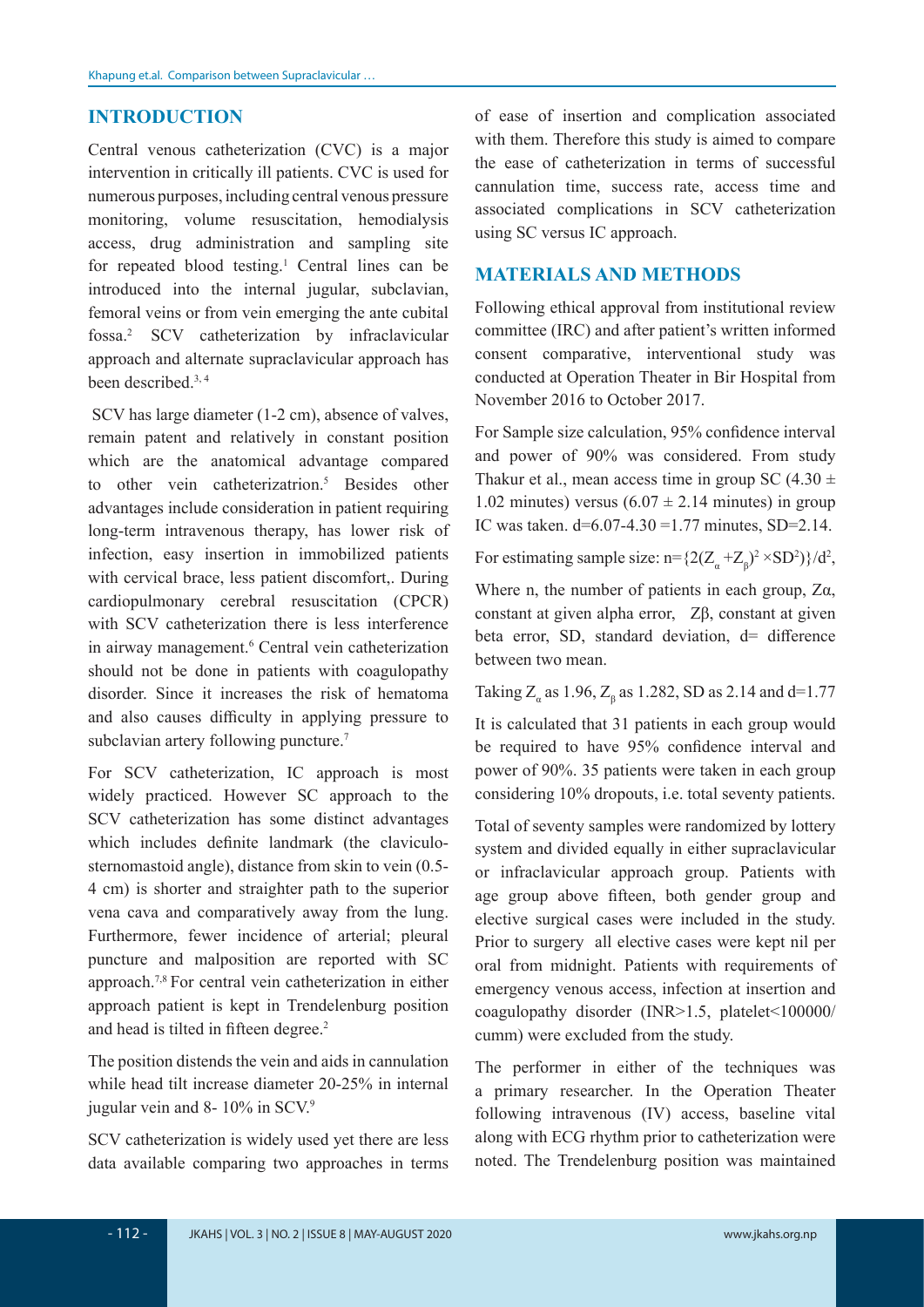#### **INTRODUCTION**

Central venous catheterization (CVC) is a major intervention in critically ill patients. CVC is used for numerous purposes, including central venous pressure monitoring, volume resuscitation, hemodialysis access, drug administration and sampling site for repeated blood testing.<sup>1</sup> Central lines can be introduced into the internal jugular, subclavian, femoral veins or from vein emerging the ante cubital fossa.2 SCV catheterization by infraclavicular approach and alternate supraclavicular approach has been described.3, 4

 SCV has large diameter (1-2 cm), absence of valves, remain patent and relatively in constant position which are the anatomical advantage compared to other vein catheterizatrion.5 Besides other advantages include consideration in patient requiring long-term intravenous therapy, has lower risk of infection, easy insertion in immobilized patients with cervical brace, less patient discomfort,. During cardiopulmonary cerebral resuscitation (CPCR) with SCV catheterization there is less interference in airway management.<sup>6</sup> Central vein catheterization should not be done in patients with coagulopathy disorder. Since it increases the risk of hematoma and also causes difficulty in applying pressure to subclavian artery following puncture.<sup>7</sup>

For SCV catheterization, IC approach is most widely practiced. However SC approach to the SCV catheterization has some distinct advantages which includes definite landmark (the claviculosternomastoid angle), distance from skin to vein (0.5- 4 cm) is shorter and straighter path to the superior vena cava and comparatively away from the lung. Furthermore, fewer incidence of arterial; pleural puncture and malposition are reported with SC approach.7,8 For central vein catheterization in either approach patient is kept in Trendelenburg position and head is tilted in fifteen degree.<sup>2</sup>

The position distends the vein and aids in cannulation while head tilt increase diameter 20-25% in internal jugular vein and 8- 10% in SCV.<sup>9</sup>

SCV catheterization is widely used yet there are less data available comparing two approaches in terms of ease of insertion and complication associated with them. Therefore this study is aimed to compare the ease of catheterization in terms of successful cannulation time, success rate, access time and associated complications in SCV catheterization using SC versus IC approach.

#### **MATERIALS AND METHODS**

Following ethical approval from institutional review committee (IRC) and after patient's written informed consent comparative, interventional study was conducted at Operation Theater in Bir Hospital from November 2016 to October 2017.

For Sample size calculation, 95% confidence interval and power of 90% was considered. From study Thakur et al., mean access time in group SC  $(4.30 \pm$ 1.02 minutes) versus  $(6.07 \pm 2.14$  minutes) in group IC was taken.  $d=6.07-4.30=1.77$  minutes, SD=2.14.

For estimating sample size: n={ $2(Z_{\alpha} + Z_{\beta})^2 \times SD^2$ }/d<sup>2</sup>,

Where n, the number of patients in each group, Zα, constant at given alpha error, Zβ, constant at given beta error, SD, standard deviation, d= difference between two mean.

Taking  $Z_a$  as 1.96,  $Z_\beta$  as 1.282, SD as 2.14 and d=1.77

It is calculated that 31 patients in each group would be required to have 95% confidence interval and power of 90%. 35 patients were taken in each group considering 10% dropouts, i.e. total seventy patients.

Total of seventy samples were randomized by lottery system and divided equally in either supraclavicular or infraclavicular approach group. Patients with age group above fifteen, both gender group and elective surgical cases were included in the study. Prior to surgery all elective cases were kept nil per oral from midnight. Patients with requirements of emergency venous access, infection at insertion and coagulopathy disorder (INR>1.5, platelet<100000/ cumm) were excluded from the study.

The performer in either of the techniques was a primary researcher. In the Operation Theater following intravenous (IV) access, baseline vital along with ECG rhythm prior to catheterization were noted. The Trendelenburg position was maintained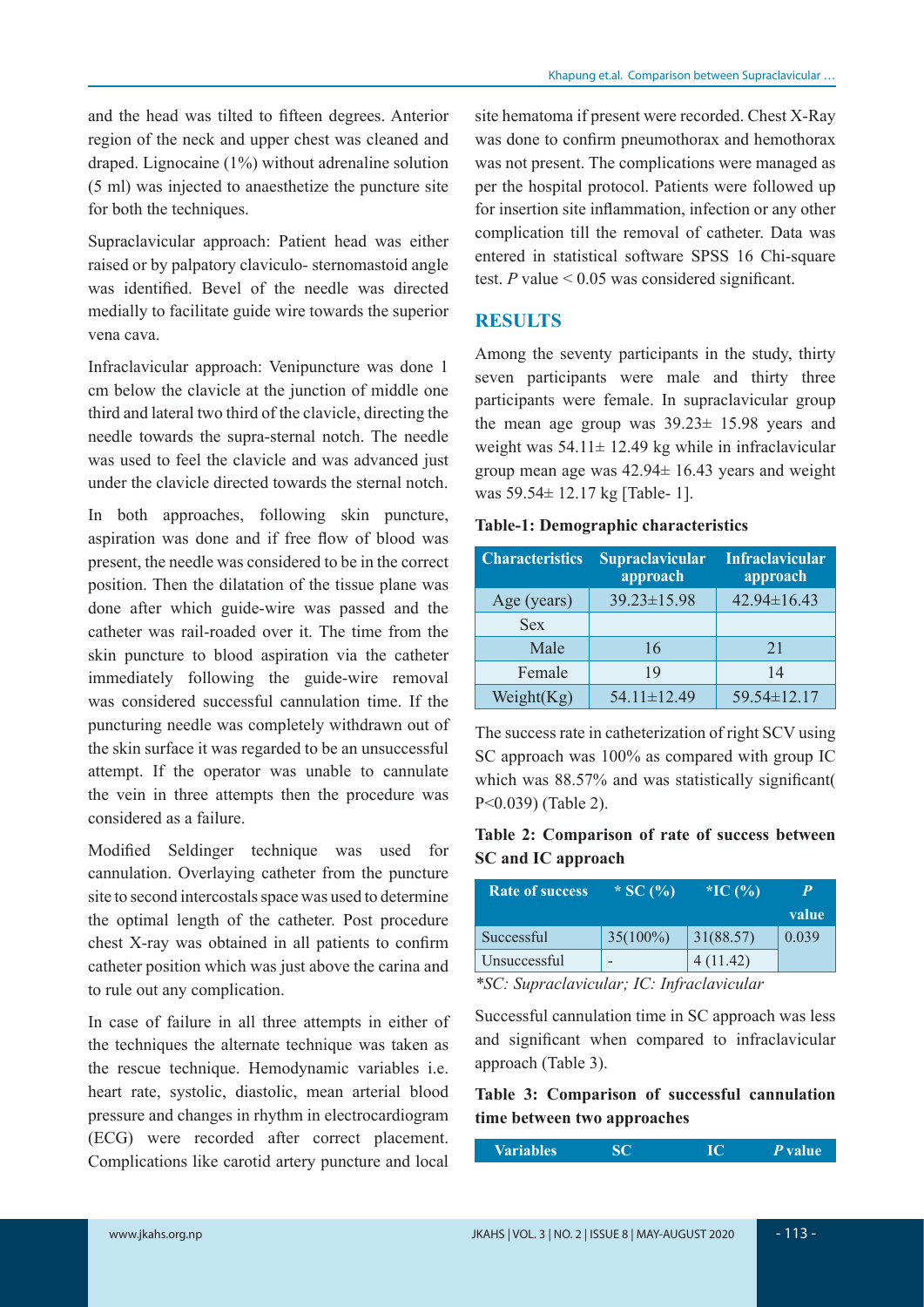and the head was tilted to fifteen degrees. Anterior region of the neck and upper chest was cleaned and draped. Lignocaine (1%) without adrenaline solution (5 ml) was injected to anaesthetize the puncture site for both the techniques.

Supraclavicular approach: Patient head was either raised or by palpatory claviculo- sternomastoid angle was identified. Bevel of the needle was directed medially to facilitate guide wire towards the superior vena cava.

Infraclavicular approach: Venipuncture was done 1 cm below the clavicle at the junction of middle one third and lateral two third of the clavicle, directing the needle towards the supra-sternal notch. The needle was used to feel the clavicle and was advanced just under the clavicle directed towards the sternal notch.

In both approaches, following skin puncture, aspiration was done and if free flow of blood was present, the needle was considered to be in the correct position. Then the dilatation of the tissue plane was done after which guide-wire was passed and the catheter was rail-roaded over it. The time from the skin puncture to blood aspiration via the catheter immediately following the guide-wire removal was considered successful cannulation time. If the puncturing needle was completely withdrawn out of the skin surface it was regarded to be an unsuccessful attempt. If the operator was unable to cannulate the vein in three attempts then the procedure was considered as a failure.

Modified Seldinger technique was used for cannulation. Overlaying catheter from the puncture site to second intercostals space was used to determine the optimal length of the catheter. Post procedure chest X-ray was obtained in all patients to confirm catheter position which was just above the carina and to rule out any complication.

In case of failure in all three attempts in either of the techniques the alternate technique was taken as the rescue technique. Hemodynamic variables i.e. heart rate, systolic, diastolic, mean arterial blood pressure and changes in rhythm in electrocardiogram (ECG) were recorded after correct placement. Complications like carotid artery puncture and local site hematoma if present were recorded. Chest X-Ray was done to confirm pneumothorax and hemothorax was not present. The complications were managed as per the hospital protocol. Patients were followed up for insertion site inflammation, infection or any other complication till the removal of catheter. Data was entered in statistical software SPSS 16 Chi-square test.  $P$  value  $\leq 0.05$  was considered significant.

### **RESULTS**

Among the seventy participants in the study, thirty seven participants were male and thirty three participants were female. In supraclavicular group the mean age group was 39.23± 15.98 years and weight was  $54.11 \pm 12.49$  kg while in infraclavicular group mean age was 42.94± 16.43 years and weight was 59.54± 12.17 kg [Table- 1].

#### **Table-1: Demographic characteristics**

| <b>Characteristics</b> | <b>Supraclavicular</b><br>approach | <b>Infraclavicular</b><br>approach |
|------------------------|------------------------------------|------------------------------------|
| Age (years)            | 39.23±15.98                        | 42.94±16.43                        |
| <b>Sex</b>             |                                    |                                    |
| Male                   | 16                                 | 21                                 |
| Female                 | 19                                 | 14                                 |
| Weight $(Kg)$          | $54.11 \pm 12.49$                  | 59.54±12.17                        |

The success rate in catheterization of right SCV using SC approach was 100% as compared with group IC which was 88.57% and was statistically significant P<0.039) (Table 2).

#### **Table 2: Comparison of rate of success between SC and IC approach**

| <b>Rate of success</b>                                                                                                                                                                                                                                | * SC $(\% )$ | *IC $(\% )$ |       |
|-------------------------------------------------------------------------------------------------------------------------------------------------------------------------------------------------------------------------------------------------------|--------------|-------------|-------|
|                                                                                                                                                                                                                                                       |              |             | value |
| Successful                                                                                                                                                                                                                                            | $35(100\%)$  | 31(88.57)   | 0.039 |
| Unsuccessful                                                                                                                                                                                                                                          |              | 4(11.42)    |       |
| $*CC$ , $C$ , , $L$ , , $L$ , $L$ , $L$ , $L$ , , $L$ , , $L$ , , $L$ , , $L$ , , $L$ , , $L$ , , $L$ , , $L$ , , $L$ , , $L$ , , $L$ , , $L$ , , $L$ , , $L$ , , $L$ , , $L$ , , $L$ , , $L$ , , $L$ , , $L$ , , $L$ , , $L$ , , $L$ , , $L$ , , $L$ |              |             |       |

*\*SC: Supraclavicular; IC: Infraclavicular*

Successful cannulation time in SC approach was less and significant when compared to infraclavicular approach (Table 3).

#### **Table 3: Comparison of successful cannulation time between two approaches**

| <b>SC</b><br>IC<br><b>Variables</b> | ' <i>P</i> value. |
|-------------------------------------|-------------------|
|-------------------------------------|-------------------|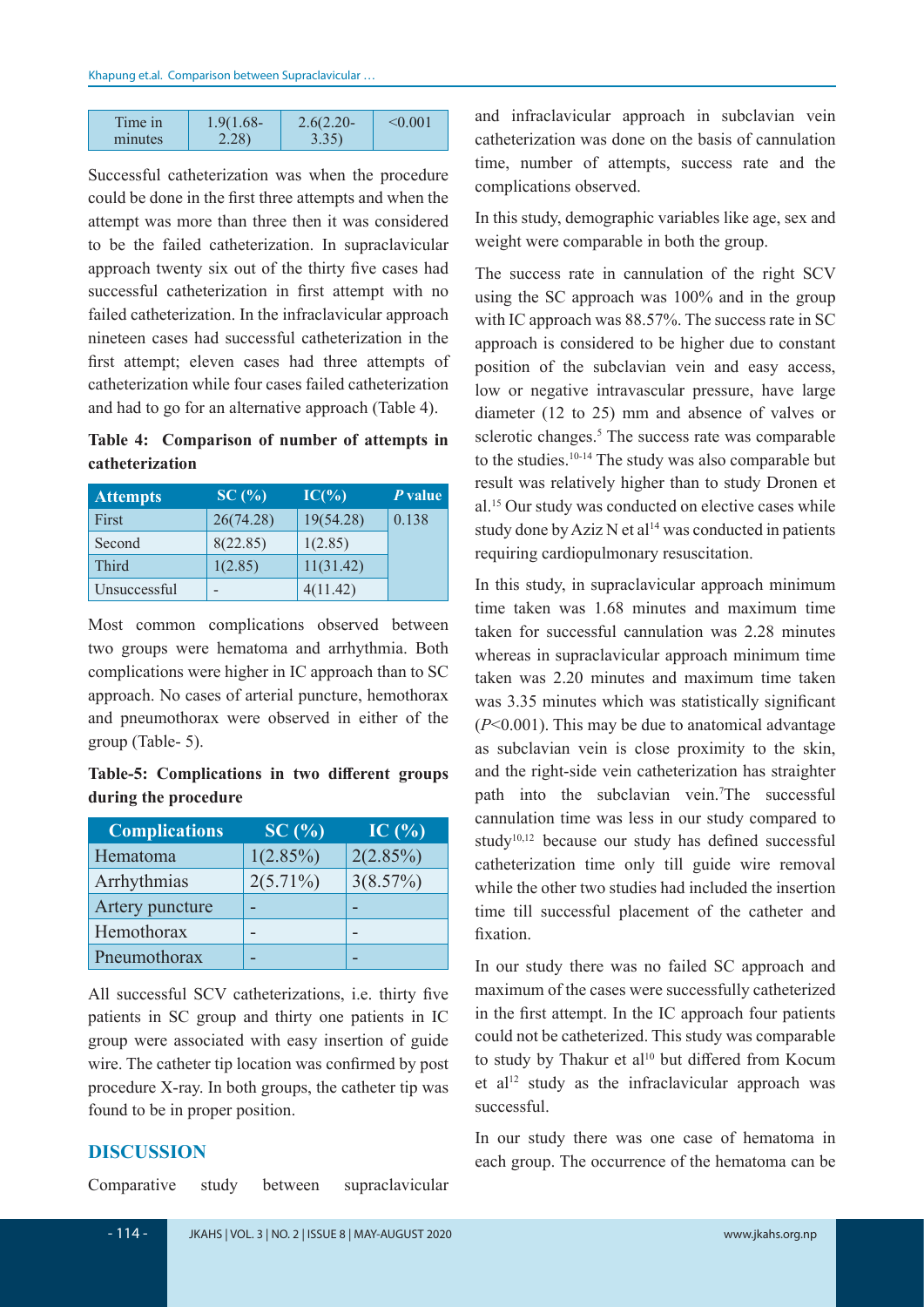| Time in | $1.9(1.68 -$ | $2.6(2.20 -$ | $\leq 0.001$ |
|---------|--------------|--------------|--------------|
| minutes | 2.28)        | 3.35         |              |

Successful catheterization was when the procedure could be done in the first three attempts and when the attempt was more than three then it was considered to be the failed catheterization. In supraclavicular approach twenty six out of the thirty five cases had successful catheterization in first attempt with no failed catheterization. In the infraclavicular approach nineteen cases had successful catheterization in the first attempt; eleven cases had three attempts of catheterization while four cases failed catheterization and had to go for an alternative approach (Table 4).

**Table 4: Comparison of number of attempts in catheterization**

| <b>Attempts</b> | SC(%)     | $IC(\% )$ | P value |
|-----------------|-----------|-----------|---------|
| First           | 26(74.28) | 19(54.28) | 0.138   |
| Second          | 8(22.85)  | 1(2.85)   |         |
| Third           | 1(2.85)   | 11(31.42) |         |
| Unsuccessful    |           | 4(11.42)  |         |

Most common complications observed between two groups were hematoma and arrhythmia. Both complications were higher in IC approach than to SC approach. No cases of arterial puncture, hemothorax and pneumothorax were observed in either of the group (Table- 5).

**Table-5: Complications in two different groups during the procedure**

| <b>Complications</b> | SC(%)       | IC $(\%$ |
|----------------------|-------------|----------|
| Hematoma             | 1(2.85%)    | 2(2.85%) |
| Arrhythmias          | $2(5.71\%)$ | 3(8.57%) |
| Artery puncture      |             |          |
| Hemothorax           |             |          |
| Pneumothorax         |             |          |

All successful SCV catheterizations, i.e. thirty five patients in SC group and thirty one patients in IC group were associated with easy insertion of guide wire. The catheter tip location was confirmed by post procedure X-ray. In both groups, the catheter tip was found to be in proper position.

#### **DISCUSSION**

Comparative study between supraclavicular

and infraclavicular approach in subclavian vein catheterization was done on the basis of cannulation time, number of attempts, success rate and the complications observed.

In this study, demographic variables like age, sex and weight were comparable in both the group.

The success rate in cannulation of the right SCV using the SC approach was 100% and in the group with IC approach was 88.57%. The success rate in SC approach is considered to be higher due to constant position of the subclavian vein and easy access, low or negative intravascular pressure, have large diameter (12 to 25) mm and absence of valves or sclerotic changes.<sup>5</sup> The success rate was comparable to the studies.10-14 The study was also comparable but result was relatively higher than to study Dronen et al.15 Our study was conducted on elective cases while study done by Aziz N et al<sup>14</sup> was conducted in patients requiring cardiopulmonary resuscitation.

In this study, in supraclavicular approach minimum time taken was 1.68 minutes and maximum time taken for successful cannulation was 2.28 minutes whereas in supraclavicular approach minimum time taken was 2.20 minutes and maximum time taken was 3.35 minutes which was statistically significant (*P*<0.001). This may be due to anatomical advantage as subclavian vein is close proximity to the skin, and the right-side vein catheterization has straighter path into the subclavian vein.7 The successful cannulation time was less in our study compared to study<sup>10,12</sup> because our study has defined successful catheterization time only till guide wire removal while the other two studies had included the insertion time till successful placement of the catheter and fixation.

In our study there was no failed SC approach and maximum of the cases were successfully catheterized in the first attempt. In the IC approach four patients could not be catheterized. This study was comparable to study by Thakur et al<sup>10</sup> but differed from Kocum et al<sup>12</sup> study as the infraclavicular approach was successful.

In our study there was one case of hematoma in each group. The occurrence of the hematoma can be